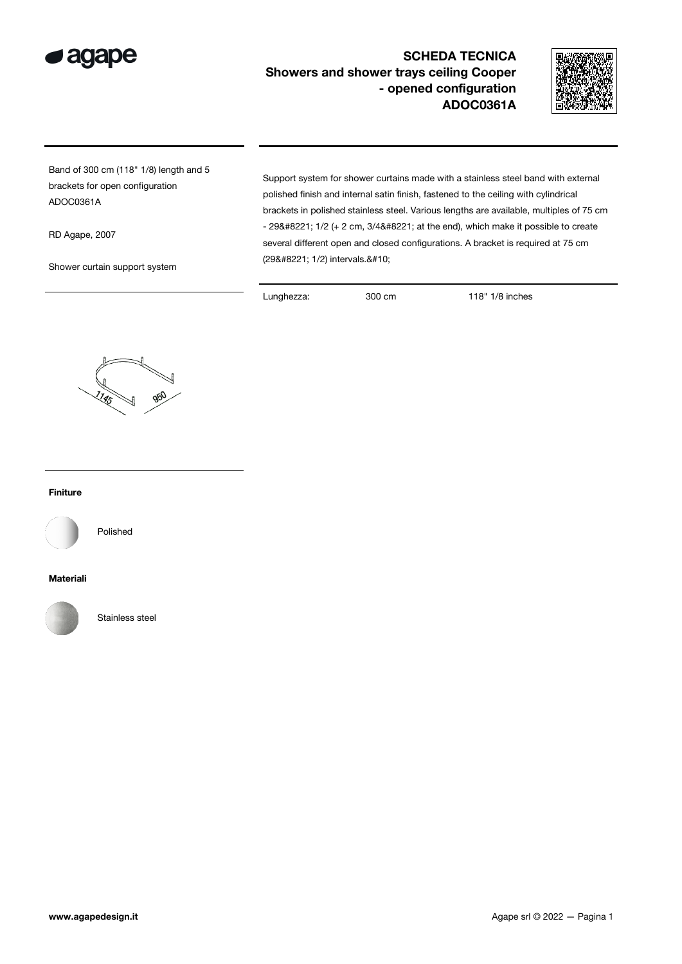

## SCHEDA TECNICA Showers and shower trays ceiling Cooper - opened configuration ADOC0361A



Band of 300 cm (118" 1/8) length and 5 brackets for open configuration ADOC0361A

RD Agape, 2007

Shower curtain support system

Support system for shower curtains made with a stainless steel band with external polished finish and internal satin finish, fastened to the ceiling with cylindrical brackets in polished stainless steel. Various lengths are available, multiples of 75 cm  $-$  29" 1/2 (+ 2 cm, 3/4" at the end), which make it possible to create several different open and closed configurations. A bracket is required at 75 cm (29" 1/2) intervals.

Lunghezza: 300 cm 118" 1/8 inches



## Finiture



Polished

## Materiali



Stainless steel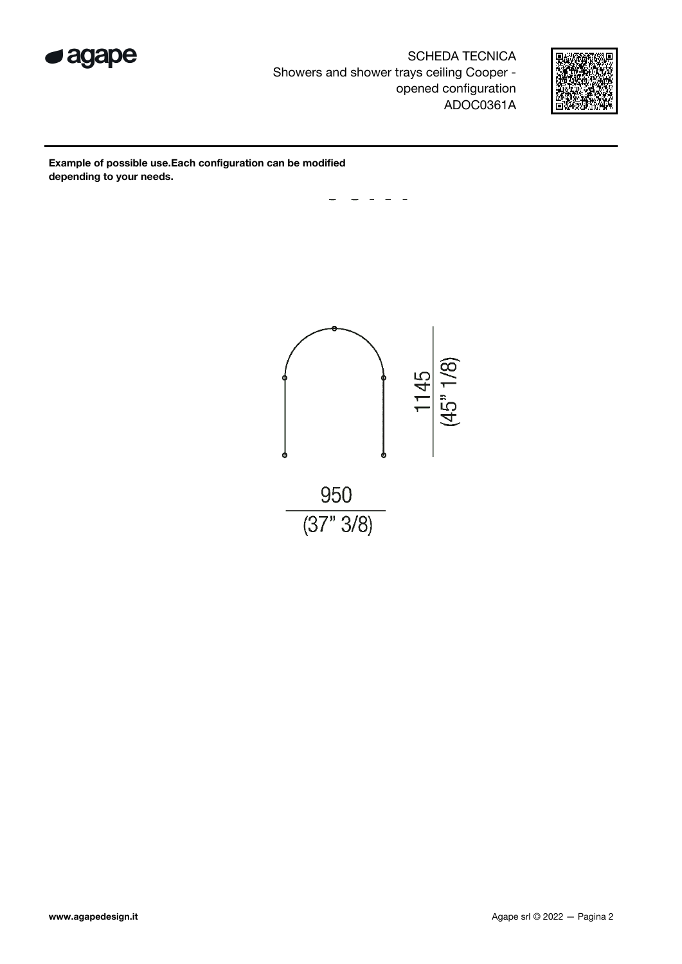

SCHEDA TECNICA Showers and shower trays ceiling Cooper opened configuration ADOC0361A



Example of possible use.Each configuration can be modified depending to your needs.

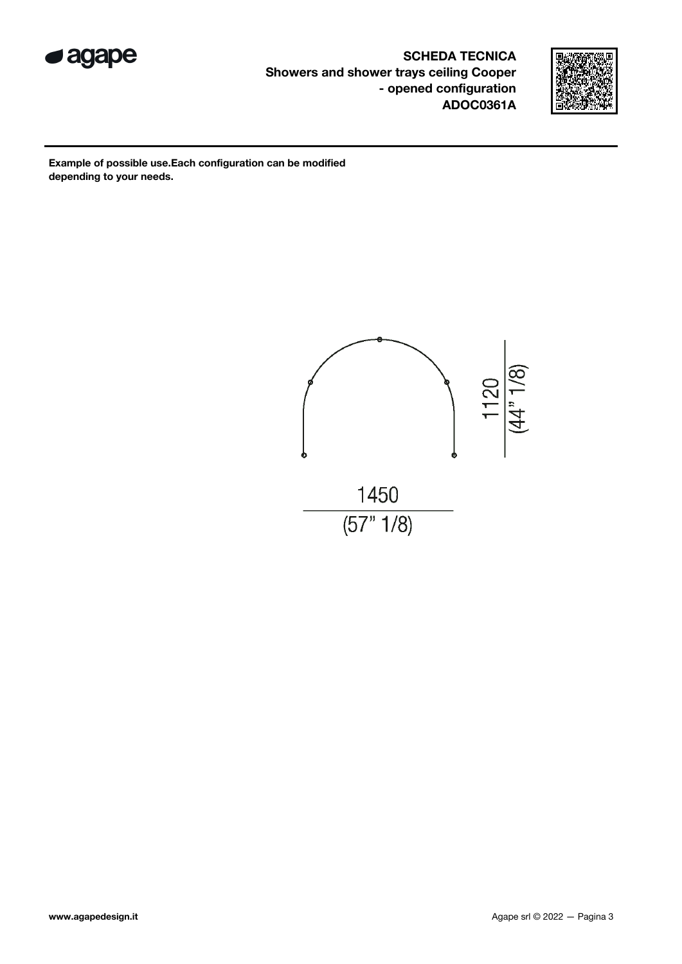

SCHEDA TECNICA Showers and shower trays ceiling Cooper - opened configuration ADOC0361A



Example of possible use.Each configuration can be modified depending to your needs.